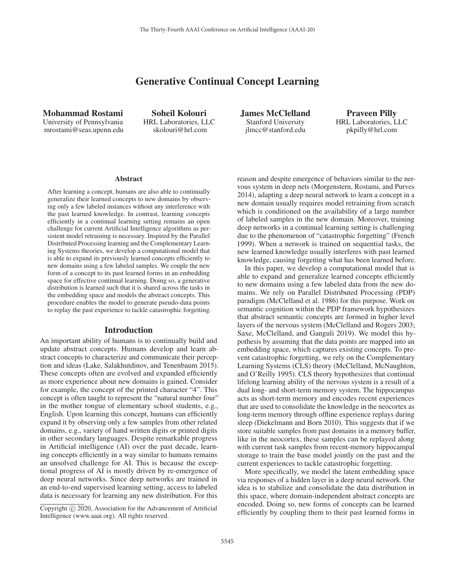# Generative Continual Concept Learning

Mohammad Rostami

University of Pennsylvania mrostami@seas.upenn.edu

Soheil Kolouri HRL Laboratories, LLC skolouri@hrl.com

James McClelland Stanford University jlmcc@stanford.edu

Praveen Pilly HRL Laboratories, LLC pkpilly@hrl.com

#### Abstract

After learning a concept, humans are also able to continually generalize their learned concepts to new domains by observing only a few labeled instances without any interference with the past learned knowledge. In contrast, learning concepts efficiently in a continual learning setting remains an open challenge for current Artificial Intelligence algorithms as persistent model retraining is necessary. Inspired by the Parallel Distributed Processing learning and the Complementary Learning Systems theories, we develop a computational model that is able to expand its previously learned concepts efficiently to new domains using a few labeled samples. We couple the new form of a concept to its past learned forms in an embedding space for effective continual learning. Doing so, a generative distribution is learned such that it is shared across the tasks in the embedding space and models the abstract concepts. This procedure enables the model to generate pseudo-data points to replay the past experience to tackle catastrophic forgetting.

# Introduction

An important ability of humans is to continually build and update abstract concepts. Humans develop and learn abstract concepts to characterize and communicate their perception and ideas (Lake, Salakhutdinov, and Tenenbaum 2015). These concepts often are evolved and expanded efficiently as more experience about new domains is gained. Consider for example, the concept of the printed character "4". This concept is often taught to represent the "natural number four" in the mother tongue of elementary school students, e.g., English. Upon learning this concept, humans can efficiently expand it by observing only a few samples from other related domains, e.g., variety of hand written digits or printed digits in other secondary languages. Despite remarkable progress in Artificial intelligence (AI) over the past decade, learning concepts efficiently in a way similar to humans remains an unsolved challenge for AI. This is because the exceptional progress of AI is mostly driven by re-emergence of deep neural networks. Since deep networks are trained in an end-to-end supervised learning setting, access to labeled data is necessary for learning any new distribution. For this

reason and despite emergence of behaviors similar to the nervous system in deep nets (Morgenstern, Rostami, and Purves 2014), adapting a deep neural network to learn a concept in a new domain usually requires model retraining from scratch which is conditioned on the availability of a large number of labeled samples in the new domain. Moreover, training deep networks in a continual learning setting is challenging due to the phenomenon of "catastrophic forgetting" (French 1999). When a network is trained on sequential tasks, the new learned knowledge usually interferes with past learned knowledge, causing forgetting what has been learned before.

In this paper, we develop a computational model that is able to expand and generalize learned concepts efficiently to new domains using a few labeled data from the new domains. We rely on Parallel Distributed Processing (PDP) paradigm (McClelland et al. 1986) for this purpose. Work on semantic cognition within the PDP framework hypothesizes that abstract semantic concepts are formed in higher level layers of the nervous system (McClelland and Rogers 2003; Saxe, McClelland, and Ganguli 2019). We model this hypothesis by assuming that the data points are mapped into an embedding space, which captures existing concepts. To prevent catastrophic forgetting, we rely on the Complementary Learning Systems (CLS) theory (McClelland, McNaughton, and O'Reilly 1995). CLS theory hypothesizes that continual lifelong learning ability of the nervous system is a result of a dual long- and short-term memory system. The hippocampus acts as short-term memory and encodes recent experiences that are used to consolidate the knowledge in the neocortex as long-term memory through offline experience replays during sleep (Diekelmann and Born 2010). This suggests that if we store suitable samples from past domains in a memory buffer, like in the neocortex, these samples can be replayed along with current task samples from recent-memory hippocampal storage to train the base model jointly on the past and the current experiences to tackle catastrophic forgetting.

More specifically, we model the latent embedding space via responses of a hidden layer in a deep neural network. Our idea is to stabilize and consolidate the data distribution in this space, where domain-independent abstract concepts are encoded. Doing so, new forms of concepts can be learned efficiently by coupling them to their past learned forms in

Copyright  $\odot$  2020, Association for the Advancement of Artificial Intelligence (www.aaai.org). All rights reserved.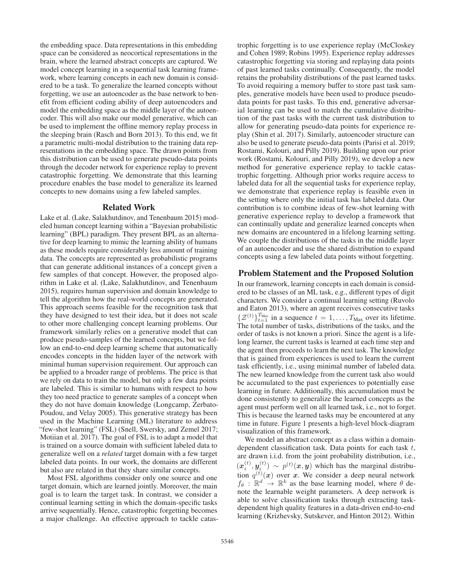the embedding space. Data representations in this embedding space can be considered as neocortical representations in the brain, where the learned abstract concepts are captured. We model concept learning in a sequential task learning framework, where learning concepts in each new domain is considered to be a task. To generalize the learned concepts without forgetting, we use an autoencoder as the base network to benefit from efficient coding ability of deep autoencoders and model the embedding space as the middle layer of the autoencoder. This will also make our model generative, which can be used to implement the offline memory replay process in the sleeping brain (Rasch and Born 2013). To this end, we fit a parametric multi-modal distribution to the training data representations in the embedding space. The drawn points from this distribution can be used to generate pseudo-data points through the decoder network for experience replay to prevent catastrophic forgetting. We demonstrate that this learning procedure enables the base model to generalize its learned concepts to new domains using a few labeled samples.

## Related Work

Lake et al. (Lake, Salakhutdinov, and Tenenbaum 2015) modeled human concept learning within a "Bayesian probabilistic learning" (BPL) paradigm. They present BPL as an alternative for deep learning to mimic the learning ability of humans as these models require considerably less amount of training data. The concepts are represented as probabilistic programs that can generate additional instances of a concept given a few samples of that concept. However, the proposed algorithm in Lake et al. (Lake, Salakhutdinov, and Tenenbaum 2015), requires human supervision and domain knowledge to tell the algorithm how the real-world concepts are generated. This approach seems feasible for the recognition task that they have designed to test their idea, but it does not scale to other more challenging concept learning problems. Our framework similarly relies on a generative model that can produce pseudo-samples of the learned concepts, but we follow an end-to-end deep learning scheme that automatically encodes concepts in the hidden layer of the network with minimal human supervision requirement. Our approach can be applied to a broader range of problems. The price is that we rely on data to train the model, but only a few data points are labeled. This is similar to humans with respect to how they too need practice to generate samples of a concept when they do not have domain knowledge (Longcamp, Zerbato-Poudou, and Velay 2005). This generative strategy has been used in the Machine Learning (ML) literature to address "few-shot learning" (FSL) (Snell, Swersky, and Zemel 2017; Motiian et al. 2017). The goal of FSL is to adapt a model that is trained on a source domain with sufficient labeled data to generalize well on a *related* target domain with a few target labeled data points. In our work, the domains are different but also are related in that they share similar concepts.

Most FSL algorithms consider only one source and one target domain, which are learned jointly. Moreover, the main goal is to learn the target task. In contrast, we consider a continual learning setting in which the domain-specific tasks arrive sequentially. Hence, catastrophic forgetting becomes a major challenge. An effective approach to tackle catas-

trophic forgetting is to use experience replay (McCloskey and Cohen 1989; Robins 1995). Experience replay addresses catastrophic forgetting via storing and replaying data points of past learned tasks continually. Consequently, the model retains the probability distributions of the past learned tasks. To avoid requiring a memory buffer to store past task samples, generative models have been used to produce pseudodata points for past tasks. To this end, generative adversarial learning can be used to match the cumulative distribution of the past tasks with the current task distribution to allow for generating pseudo-data points for experience replay (Shin et al. 2017). Similarly, autoencoder structure can also be used to generate pseudo-data points (Parisi et al. 2019; Rostami, Kolouri, and Pilly 2019). Building upon our prior work (Rostami, Kolouri, and Pilly 2019), we develop a new method for generative experience replay to tackle catastrophic forgetting. Although prior works require access to labeled data for all the sequential tasks for experience replay, we demonstrate that experience replay is feasible even in the setting where only the initial task has labeled data. Our contribution is to combine ideas of few-shot learning with generative experience replay to develop a framework that can continually update and generalize learned concepts when new domains are encountered in a lifelong learning setting. We couple the distributions of the tasks in the middle layer of an autoencoder and use the shared distribution to expand concepts using a few labeled data points without forgetting.

# Problem Statement and the Proposed Solution

In our framework, learning concepts in each domain is considered to be classes of an ML task, e.g., different types of digit characters. We consider a continual learning setting (Ruvolo and Eaton 2013), where an agent receives consecutive tasks  $\{Z^{(t)}\}_{t=1}^{T_{\text{Max}}}$  in a sequence  $t = 1, ..., T_{\text{Max}}$  over its lifetime.<br>The total number of tasks, distributions of the tasks, and the The total number of tasks, distributions of the tasks, and the order of tasks is not known a priori. Since the agent is a lifelong learner, the current tasks is learned at each time step and the agent then proceeds to learn the next task. The knowledge that is gained from experiences is used to learn the current task efficiently, i.e., using minimal number of labeled data. The new learned knowledge from the current task also would be accumulated to the past experiences to potentially ease learning in future. Additionally, this accumulation must be done consistently to generalize the learned concepts as the agent must perform well on all learned task, i.e., not to forget. This is because the learned tasks may be encountered at any time in future. Figure 1 presents a high-level block-diagram visualization of this framework.

We model an abstract concept as a class within a domaindependent classification task. Data points for each task t, are drawn i.i.d. from the joint probability distribution, i.e.,  $(x_i^{(t)}, y_i^{(t)}) \sim p^{(t)}(x, y)$  which has the marginal distribu-<br>tion  $c^{(t)}(x)$  over  $x$ . We consider a deep neural network tion  $q^{(t)}(x)$  over *x*. We consider a deep neural network  $f_a$ .  $\mathbb{R}^d \to \mathbb{R}^k$  as the base learning model where  $\theta$  de $f_{\theta}$ :  $\mathbb{R}^d \to \mathbb{R}^k$  as the base learning model, where  $\theta$  denote the learnable weight parameters. A deep network is able to solve classification tasks through extracting taskdependent high quality features in a data-driven end-to-end learning (Krizhevsky, Sutskever, and Hinton 2012). Within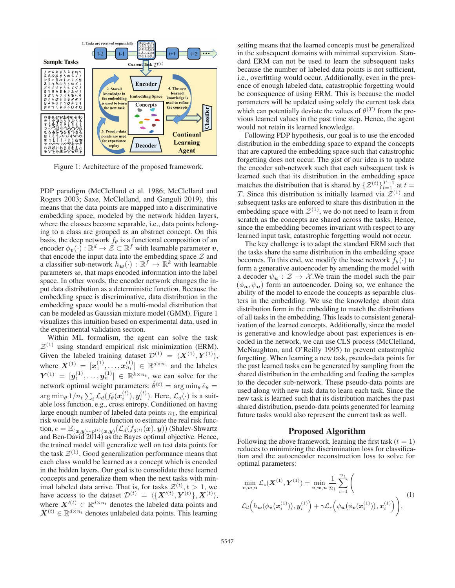

Figure 1: Architecture of the proposed framework.

PDP paradigm (McClelland et al. 1986; McClelland and Rogers 2003; Saxe, McClelland, and Ganguli 2019), this means that the data points are mapped into a discriminative embedding space, modeled by the network hidden layers, where the classes become separable, i.e., data points belonging to a class are grouped as an abstract concept. On this basis, the deep network  $f_{\theta}$  is a functional composition of an encoder  $\phi_{\boldsymbol{v}}(\cdot) : \mathbb{R}^d \to \mathcal{Z} \subset \mathbb{R}^f$  with learnable parameter *v*, that encode the input data into the embedding space  $\mathcal Z$  and a classifier sub-network  $h_{w}(\cdot) : \mathbb{R}^{f} \to \mathbb{R}^{k}$  with learnable parameters  $w$ , that maps encoded information into the label space. In other words, the encoder network changes the input data distribution as a deterministic function. Because the embedding space is discriminative, data distribution in the embedding space would be a multi-modal distribution that can be modeled as Gaussian mixture model (GMM). Figure 1 visualizes this intuition based on experimental data, used in the experimental validation section.

Within ML formalism, the agent can solve the task  $\mathcal{Z}^{(1)}$  using standard empirical risk minimization (ERM).<br>Given the labeled training dataset  $\mathcal{D}^{(1)} = \langle \mathbf{X}^{(1)}, \mathbf{Y}^{(1)} \rangle$ , Given the labeled training dataset  $\mathcal{D}^{(1)} = \langle \mathbf{X}^{(1)}, \mathbf{Y}^{(1)} \rangle$ ,<br>where  $\mathbf{Y}^{(1)} = \mathbf{X}^{(1)}$ ,  $\mathbf{X}^{(1)} = \mathbf{X}^{(1)}$ ,  $\mathbf{X}^{(1)} = \mathbf{X}^{(1)}$ ,  $\mathbf{X}^{(1)} = \mathbf{X}^{(1)}$ ,  $\mathbf{X}^{(1)} = \mathbf{X}^{(1)}$ ,  $\mathbf{X}^{(1)} = \mathbf{$ where  $X^{(1)} = [x_1^{(1)}, \ldots, x_{n_t}^{(1)}] \in \mathbb{R}^{d \times n_1}$  and the labeles  $Y^{(1)} = [x_1^{(1)}, \ldots, x_{n_t}^{(1)}] \in \mathbb{R}^{k \times n_t}$  we see solve far the  $Y^{(1)} = [y_1^{(1)}, \ldots, y_n^{(1)}] \in \mathbb{R}^{k \times n_t}$ , we can solve for the natural optimal weight personators  $\hat{\theta}(t) = \text{argmin} \hat{\theta}$ network optimal weight parameters:  $\hat{\theta}^{(t)} = \arg\min_{\theta} \hat{e}_{\theta}$  $\arg \min_{\theta} 1/n_t \sum_i \mathcal{L}_d(f_{\theta}(\boldsymbol{x}_i^{(t)}), \boldsymbol{y}_i^{(t)})$ . Here,  $\mathcal{L}_d(\cdot)$  is a suit-<br>able loss function e.g. cross entropy Conditioned on having able loss function, e.g., cross entropy. Conditioned on having large enough number of labeled data points  $n_1$ , the empirical risk would be a suitable function to estimate the real risk function,  $e = \mathbb{E}_{(\bm{x},\bm{y}) \sim p^{(t)}(\bm{x},\bm{y})}(\mathcal{L}_d(f_{\theta^{(t)}}(\bm{x}), \bm{y}))$  (Shalev-Shwartz and Ben-David 2014) as the Bayes optimal objective. Hence, the trained model will generalize well on test data points for the task  $\mathcal{Z}^{(1)}$ . Good generalization performance means that each class would be learned as a concept which is encoded in the hidden layers. Our goal is to consolidate these learned concepts and generalize them when the next tasks with minimal labeled data arrive. That is, for tasks  $\mathcal{Z}^{(t)}$ ,  $t > 1$ , we have access to the dataset  $\mathcal{D}^{(t)} = \langle \{ \mathbf{X}'^{(t)} \ \mathbf{Y}^{(t)} \} \ \mathbf{X}^{(t)} \rangle$ have access to the dataset  $\mathcal{D}^{(t)} = \langle {\mathbf{X}^{\prime}}^{(t)}, {\mathbf{Y}^{(t)}} \rangle, {\mathbf{X}^{(t)}} \rangle$ , where  ${\mathbf{Y}^{\prime}}^{(t)} \in \mathbb{R}^{d \times n_t}$  denotes the labeled data points and where  $X^{(t)} \in \mathbb{R}^{d \times n_t}$  denotes the labeled data points and  $X^{(t)} \in \mathbb{R}^{d \times n_t}$  denotes unlabeled data points. This learning

setting means that the learned concepts must be generalized in the subsequent domains with minimal supervision. Standard ERM can not be used to learn the subsequent tasks because the number of labeled data points is not sufficient, i.e., overfitting would occur. Additionally, even in the presence of enough labeled data, catastrophic forgetting would be consequence of using ERM. This is because the model parameters will be updated using solely the current task data which can potentially deviate the values of  $\theta^{(T)}$  from the previous learned values in the past time step. Hence, the agent would not retain its learned knowledge.

Following PDP hypothesis, our goal is to use the encoded distribution in the embedding space to expand the concepts that are captured the embedding space such that catastrophic forgetting does not occur. The gist of our idea is to update the encoder sub-network such that each subsequent task is learned such that its distribution in the embedding space matches the distribution that is shared by  $\{Z^{(t)}\}_{t=1}^{T-1}$  at  $t=T$ .<br>The since this distribution is initially learned via  $Z^{(1)}$  and T. Since this distribution is initially learned via  $\mathcal{Z}^{(1)}$  and subsequent tasks are enforced to share this distribution in the embedding space with  $\mathcal{Z}^{(1)}$ , we do not need to learn it from scratch as the concepts are shared across the tasks. Hence, since the embedding becomes invariant with respect to any learned input task, catastrophic forgetting would not occur.

The key challenge is to adapt the standard ERM such that the tasks share the same distribution in the embedding space becomes. To this end, we modify the base network  $f_{\theta}(\cdot)$  to form a generative autoencoder by amending the model with a decoder  $\psi_u : \mathcal{Z} \to \mathcal{X}$ . We train the model such the pair  $(\phi_u, \psi_u)$  form an autoencoder. Doing so, we enhance the ability of the model to encode the concepts as separable clusters in the embedding. We use the knowledge about data distribution form in the embedding to match the distributions of all tasks in the embedding. This leads to consistent generalization of the learned concepts. Additionally, since the model is generative and knowledge about past experiences is encoded in the network, we can use CLS process (McClelland, McNaughton, and O'Reilly 1995) to prevent catastrophic forgetting. When learning a new task, pseudo-data points for the past learned tasks can be generated by sampling from the shared distribution in the embedding and feeding the samples to the decoder sub-network. These pseudo-data points are used along with new task data to learn each task. Since the new task is learned such that its distribution matches the past shared distribution, pseudo-data points generated for learning future tasks would also represent the current task as well.

### Proposed Algorithm

Following the above framework, learning the first task  $(t = 1)$ reduces to minimizing the discrimination loss for classification and the autoencoder reconstruction loss to solve for optimal parameters:

$$
\min_{\mathbf{v},\mathbf{w},\mathbf{u}} \mathcal{L}_c(\mathbf{X}^{(1)},\mathbf{Y}^{(1)}) = \min_{\mathbf{v},\mathbf{w},\mathbf{u}} \frac{1}{n_1} \sum_{i=1}^{n_1} \Bigg( \prod_{\mathbf{v},\mathbf{w},\mathbf{v},\mathbf{u}} \mathcal{L}_d\Big(h_{\mathbf{w}}(\phi_{\mathbf{v}}(\mathbf{x}_i^{(1)})),\mathbf{y}_i^{(1)}\Big) + \gamma \mathcal{L}_r\Big(\psi_{\mathbf{u}}(\phi_{\mathbf{v}}(\mathbf{x}_i^{(1)})),\mathbf{x}_i^{(1)}\Big)\Bigg), \tag{1}
$$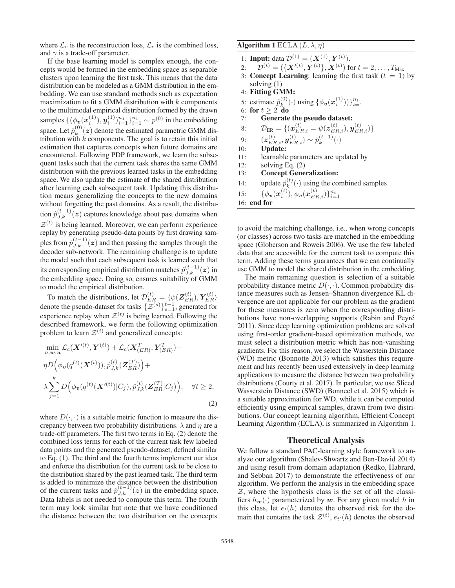where  $\mathcal{L}_r$  is the reconstruction loss,  $\mathcal{L}_c$  is the combined loss, and  $\gamma$  is a trade-off parameter.

If the base learning model is complex enough, the concepts would be formed in the embedding space as separable clusters upon learning the first task. This means that the data distribution can be modeled as a GMM distribution in the embedding. We can use standard methods such as expectation maximization to fit a GMM distribution with  $k$  components to the multimodal empirical distribution formed by the drawn samples  $\{(\phi_v(x_i^{(1)}), y_i^{(1)})_{i=1}^{n_1}\}_{i=1}^{n_1} \sim p^{(0)}$  in the embedding space. Let  $\hat{p}_k^{(0)}(z)$  denote the estimated parametric GMM distribution with k components. The goal is to retain this initial tribution with  $k$  components. The goal is to retain this initial estimation that captures concepts when future domains are encountered. Following PDP framework, we learn the subsequent tasks such that the current task shares the same GMM distribution with the previous learned tasks in the embedding space. We also update the estimate of the shared distribution after learning each subsequent task. Updating this distribution means generalizing the concepts to the new domains without forgetting the past domains. As a result, the distribution  $\hat{p}_{J,k}^{(t-1)}(z)$  captures knowledge about past domains when  $z^{(t)}$  is being learned. Moreover we are neglected approximately  $\mathcal{Z}^{(t)}$  is being learned. Moreover, we can perform experience replay by generating pseudo-data points by first drawing samples from  $\hat{p}_{J,k}^{(t-1)}(z)$  and then passing the samples through the decoder sub-network. The remaining challenge is to update the model such that each subsequent task is learned such that its corresponding empirical distribution matches  $\hat{p}_{J,k}^{(t-1)}(z)$  in the embedding space. Doing so, ensures suitability of GMM the embedding space. Doing so, ensures suitability of GMM to model the empirical distribution.

To match the distributions, let  $\mathcal{D}_{ER}^{(t)} = \langle \psi(\mathbf{Z}_{ER}^{(t)}), \mathbf{Y}_{ER}^{(t)} \rangle$ denote the pseudo-dataset for tasks  $\{Z^{(s)}\}_{s=1}^{t-1}$ , generated for experience replay when  $\mathcal{Z}^{(t)}$  is being learned. Following the described framework, we form the following optimization problem to learn  $\mathcal{Z}^{(t)}$  and generalized concepts:

$$
\min_{\mathbf{v},\mathbf{w},\mathbf{u}} \mathcal{L}_c(\mathbf{X}'^{(t)},\mathbf{Y}^{(t)}) + \mathcal{L}_c(\mathbf{X}_{(ER)}^T, \mathbf{Y}_{(ER)}^T) +
$$
\n
$$
\eta D\Big(\phi_\mathbf{v}(q^{(t)}(\mathbf{X}^{(t)})), \hat{p}_{J,k}^{(t)}(\mathbf{Z}_{ER}^{(T)})\Big) +
$$
\n
$$
\lambda \sum_{j=1}^k D\Big(\phi_\mathbf{v}(q^{(t)}(\mathbf{X}'^{(t)})|C_j), \hat{p}_{J,k}^{(t)}(\mathbf{Z}_{ER}^{(T)}|C_j)\Big), \quad \forall t \ge 2,
$$
\n(2)

where  $D(\cdot, \cdot)$  is a suitable metric function to measure the discrepancy between two probability distributions.  $\lambda$  and  $\eta$  are a trade-off parameters. The first two terms in Eq. (2) denote the combined loss terms for each of the current task few labeled data points and the generated pseudo-dataset, defined similar to Eq. (1). The third and the fourth terms implement our idea and enforce the distribution for the current task to be close to the distribution shared by the past learned task. The third term is added to minimize the distance between the distribution of the current tasks and  $\hat{p}_{J,k}^{(t-1)}(z)$  in the embedding space.<br>Data labels is not needed to compute this term. The fourth Data labels is not needed to compute this term. The fourth term may look similar but note that we have conditioned the distance between the two distribution on the concepts

|     | <b>Algorithm 1</b> ECLA $(L, \lambda, \eta)$<br>1: <b>Input:</b> data $\mathcal{D}^{(1)} = (\mathbf{X}^{(1)}, \mathbf{Y}^{(t)})$ . |
|-----|------------------------------------------------------------------------------------------------------------------------------------|
|     |                                                                                                                                    |
| 2:  | $\mathcal{D}^{(t)} = (\{ \mathbf{X}'^{(t)}, \mathbf{Y}^{(t)} \}, \mathbf{X}^{(t)})$ for $t = 2, , T_{\text{Max}}$                  |
|     | 3: Concept Learning: learning the first task $(t = 1)$ by                                                                          |
|     | solving $(1)$                                                                                                                      |
|     | 4: Fitting GMM:                                                                                                                    |
|     | 5: estimate $\hat{p}_{k}^{(0)}(\cdot)$ using $\{\phi_{v}(x_{i}^{(1)}))\}_{i=1}^{n_{t}}$                                            |
|     | 6: for $t > 2$ do                                                                                                                  |
| 7:  | Generate the pseudo dataset:                                                                                                       |
| 8:  | $\mathcal{D}_{\text{ER}} = \{(\boldsymbol{x}_{ER,i}^{(t)} = \psi(\boldsymbol{z}_{ER,i}^{(t)}), \boldsymbol{y}_{ER,i}^{(t)})\}$     |
| 9:  | $(z_{ER,i}^{(t)}, y_{ER,i}^{(t)}) \sim \hat{p}_{k}^{(t-1)}(\cdot)$                                                                 |
| 10: | Update:                                                                                                                            |
| 11: | learnable parameters are updated by                                                                                                |
| 12: | solving Eq. $(2)$                                                                                                                  |
| 13: | <b>Concept Generalization:</b>                                                                                                     |
| 14: | update $\hat{p}_{k}^{(t)}(\cdot)$ using the combined samples                                                                       |
| 15: | $\{\phi_{\bm{v}}(\bm{x}_i^{(t)}),\phi_{\bm{v}}(\bm{x}_{ER,i}^{(t)})\}_{i=1}^{n_t}$                                                 |
|     | $16:$ end for                                                                                                                      |

to avoid the matching challenge, i.e., when wrong concepts (or classes) across two tasks are matched in the embedding space (Globerson and Roweis 2006). We use the few labeled data that are accessible for the current task to compute this term. Adding these terms guarantees that we can continually use GMM to model the shared distribution in the embedding.

The main remaining question is selection of a suitable probability distance metric  $D(\cdot, \cdot)$ . Common probability distance measures such as Jensen–Shannon divergence KL divergence are not applicable for our problem as the gradient for these measures is zero when the corresponding distributions have non-overlapping supports (Rabin and Peyré 2011). Since deep learning optimization problems are solved using first-order gradient-based optimization methods, we must select a distribution metric which has non-vanishing gradients. For this reason, we select the Wasserstein Distance (WD) metric (Bonnotte 2013) which satisfies this requirement and has recently been used extensively in deep learning applications to measure the distance between two probability distributions (Courty et al. 2017). In particular, we use Sliced Wasserstein Distance (SWD) (Bonneel et al. 2015) which is a suitable approximation for WD, while it can be computed efficiently using empirical samples, drawn from two distributions. Our concept learning algorithm, Efficient Concept Learning Algorithm (ECLA), is summarized in Algorithm 1.

### Theoretical Analysis

We follow a standard PAC-learning style framework to analyze our algorithm (Shalev-Shwartz and Ben-David 2014) and using result from domain adaptation (Redko, Habrard, and Sebban 2017) to demonstrate the effectiveness of our algorithm. We perform the analysis in the embedding space  $Z$ , where the hypothesis class is the set of all the classifiers  $h_{w}(\cdot)$  parameterized by *w*. For any given model h in this class, let  $e_t(h)$  denotes the observed risk for the domain that contains the task  $\mathcal{Z}^{(t)}$ ,  $e_{t'}$  $\left( h\right)$  denotes the observed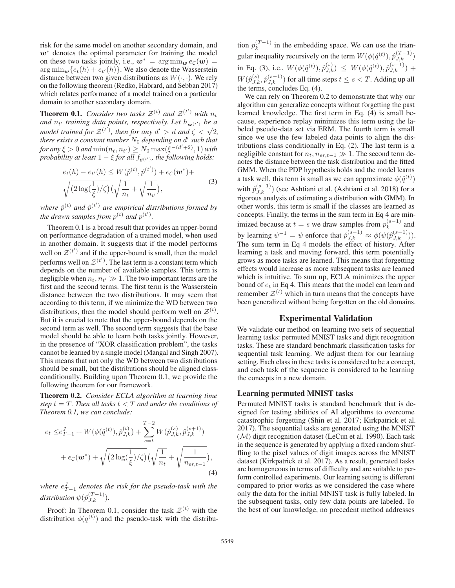risk for the same model on another secondary domain, and *w*<sup>∗</sup> denotes the optimal parameter for training the model on these two tasks jointly, i.e.,  $w^* = \arg \min_w e_{\mathcal{C}}(w)$  $\arg \min_{\bm{w}} \{e_t(h) + e_{t'}\}$  $(h)$ . We also denote the Wasserstein<br>given distributions as  $W(\cdot, \cdot)$  We rely distance between two given distributions as  $W(\cdot, \cdot)$ . We rely on the following theorem (Redko, Habrard, and Sebban 2017) which relates performance of a model trained on a particular domain to another secondary domain.

**Theorem 0.1.** *Consider two tasks*  $\mathcal{Z}^{(t)}$  *and*  $\mathcal{Z}^{(t')}$  *with*  $n_t$ and  $n_{t'}$  training data points, respectively. Let  $h_{\mathbf{w}^{(t')}}$  be a *model trained for*  $Z^{(t')}$ , *then for any*  $d' > d$  *and*  $\zeta < \sqrt{2}$ ,<br>*there exists a constant number* N<sub>0</sub> depending on  $d'$  such that *there exists a constant number*  $N_0$  *depending on*  $d'$  *such that for any*  $\xi > 0$  *and*  $\min(n_t, n_t)$ <br>*probability at least*  $1 - \xi$  *for*.  $\sum_{l=0}^{\infty} N_0 \max(\xi^{-(d'+2)}, 1)$  *with*<br>all f<sub>o(d)</sub> the following holds:  $p$ *robability at least*  $1 - \xi$  *for all*  $f_{\theta(t')}$ *, the following holds:* 

$$
e_t(h) - e_{t'}(h) \le W(\hat{p}^{(t)}, \hat{p}^{(t')}) + e_c(\mathbf{w}^*) + \sqrt{(2\log(\frac{1}{\xi})/\zeta)}\left(\sqrt{\frac{1}{n_t}} + \sqrt{\frac{1}{n_{t'}}}\right),
$$
\n(3)

*where*  $\hat{p}^{(t)}$  and  $\hat{p}^{(t')}$  are empirical distributions formed by<br>the drawn samples from  $p^{(t)}$  and  $p^{(t')}$ *the drawn samples from*  $p^{(t)}$  *and*  $p^{(t')}$ *.* 

Theorem 0.1 is a broad result that provides an upper-bound on performance degradation of a trained model, when used in another domain. It suggests that if the model performs well on  $\mathcal{Z}^{(t')}$  and if the upper-bound is small, then the model performs well on  $\mathcal{Z}^{(t')}$ . The last term is a constant term which depends on the number of available samples. This term is negligible when  $n_t$ ,  $n_{t'} \gg 1$ . The two important terms are the first and the second terms. The first term is the Wasserstein first and the second terms. The first term is the Wasserstein distance between the two distributions. It may seem that according to this term, if we minimize the WD between two distributions, then the model should perform well on  $\mathcal{Z}^{(t)}$ . But it is crucial to note that the upper-bound depends on the second term as well. The second term suggests that the base model should be able to learn both tasks jointly. However, in the presence of "XOR classification problem", the tasks cannot be learned by a single model (Mangal and Singh 2007). This means that not only the WD between two distributions should be small, but the distributions should be aligned classconditionally. Building upon Theorem 0.1, we provide the following theorem for our framework.

Theorem 0.2. *Consider ECLA algorithm at learning time step*  $t = T$ *. Then all tasks*  $t < T$  *and under the conditions of Theorem 0.1, we can conclude:*

$$
e_{t} \leq e_{T-1}^{J} + W(\phi(\hat{q}^{(t)}), \hat{p}_{J,k}^{(t)}) + \sum_{s=t}^{T-2} W(\hat{p}_{J,k}^{(s)}, \hat{p}_{J,k}^{(s+1)}) + e_{\mathcal{C}}(\boldsymbol{w}^{*}) + \sqrt{(2\log(\frac{1}{\xi})/\zeta)}(\sqrt{\frac{1}{n_{t}}} + \sqrt{\frac{1}{n_{er,t-1}}}),
$$
\n(4)

*where*  $e_{T-1}^J$  *denotes the risk for the pseudo-task with the*  $distribution \psi(\hat{p}_{J,k}^{(T-1)})$ .

Proof: In Theorem 0.1, consider the task  $\mathcal{Z}^{(t)}$  with the distribution  $\phi(q^{(t)})$  and the pseudo-task with the distribu-

tion  $p_k^{(T-1)}$  in the embedding space. We can use the triangular inequality recursively on the term  $W(\phi(\hat{q}^{(t)}), \hat{p}_{J,k}^{(T-1)})$  $J,k$  )<br>-1). in Eq. (3), i.e.,  $W(\phi(\hat{q}^{(t)}), \hat{p}_{J,k}^{(s)}) \leq W(\phi(\hat{q}^{(t)}), \hat{p}_{J,k}^{(s-1)})$  $J,k$  ) +  $W(\hat{p}_{J,k}^{(s)}, \hat{p}_{J,k}^{(s-1)})$  for all time steps  $t \leq s < T$ . Adding up all the terms, concludes Eq. (4) the terms, concludes Eq. (4).

We can rely on Theorem 0.2 to demonstrate that why our algorithm can generalize concepts without forgetting the past learned knowledge. The first term in Eq. (4) is small because, experience replay minimizes this term using the labeled pseudo-data set via ERM. The fourth term is small since we use the few labeled data points to align the distributions class conditionally in Eq. (2). The last term is a negligible constant for  $n_t$ ,  $n_{er,t-1} \gg 1$ . The second term denotes the distance between the task distribution and the fitted GMM. When the PDP hypothesis holds and the model learns a task well, this term is small as we can approximate  $\phi(\hat{q}^{(t)})$ with  $\hat{p}_{J,k}^{(s-1)}$ ) (see Ashtiani et al. (Ashtiani et al. 2018) for a rigorous analysis of estimating a distribution with GMM). In other words, this term is small if the classes are learned as concepts. Finally, the terms in the sum term in Eq 4 are minimized because at  $t = s$  we draw samples from  $p_k^{(s-1)}$  and by learning  $\psi^{-1} = \psi$  enforce that  $\hat{p}_{J,k}^{(s-1)} \approx \phi(\psi(\hat{p}_{J,k}^{(s-1)})).$ <br>The sum term in Eq 4 models the effect of history. After The sum term in Eq 4 models the effect of history. After learning a task and moving forward, this term potentially grows as more tasks are learned. This means that forgetting effects would increase as more subsequent tasks are learned which is intuitive. To sum up, ECLA minimizes the upper bound of  $e_t$  in Eq 4. This means that the model can learn and remember  $\mathcal{Z}^{(t)}$  which in turn means that the concepts have been generalized without being forgotten on the old domains.

# Experimental Validation

We validate our method on learning two sets of sequential learning tasks: permuted MNIST tasks and digit recognition tasks. These are standard benchmark classification tasks for sequential task learning. We adjust them for our learning setting. Each class in these tasks is considered to be a concept, and each task of the sequence is considered to be learning the concepts in a new domain.

#### Learning permuted MNIST tasks

Permuted MNIST tasks is standard benchmark that is designed for testing abilities of AI algorithms to overcome catastrophic forgetting (Shin et al. 2017; Kirkpatrick et al. 2017). The sequential tasks are generated using the MNIST (M) digit recognition dataset (LeCun et al. 1990). Each task in the sequence is generated by applying a fixed random shuffling to the pixel values of digit images across the MNIST dataset (Kirkpatrick et al. 2017). As a result, generated tasks are homogeneous in terms of difficulty and are suitable to perform controlled experiments. Our learning setting is different compared to prior works as we considered the case where only the data for the initial MNIST task is fully labeled. In the subsequent tasks, only few data points are labeled. To the best of our knowledge, no precedent method addresses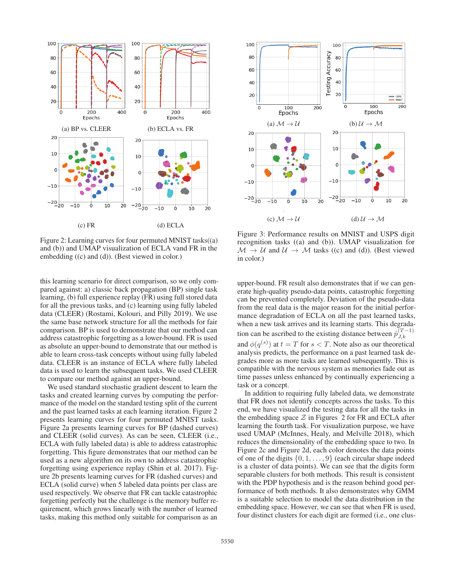



Figure 2: Learning curves for four permuted MNIST tasks((a) and (b)) and UMAP visualization of ECLA vand FR in the embedding ((c) and (d)). (Best viewed in color.)

this learning scenario for direct comparison, so we only compared against: a) classic back propagation (BP) single task learning, (b) full experience replay (FR) using full stored data for all the previous tasks, and (c) learning using fully labeled data (CLEER) (Rostami, Kolouri, and Pilly 2019). We use the same base network structure for all the methods for fair comparison. BP is used to demonstrate that our method can address catastrophic forgetting as a lower-bound. FR is used as absolute an upper-bound to demonstrate that our method is able to learn cross-task concepts without using fully labeled data. CLEER is an instance of ECLA where fully labeled data is used to learn the subsequent tasks. We used CLEER to compare our method against an upper-bound.

We used standard stochastic gradient descent to learn the tasks and created learning curves by computing the performance of the model on the standard testing split of the current and the past learned tasks at each learning iteration. Figure 2 presents learning curves for four permuted MNIST tasks. Figure 2a presents learning curves for BP (dashed curves) and CLEER (solid curves). As can be seen, CLEER (i.e., ECLA with fully labeled data) is able to address catastrophic forgetting. This figure demonstrates that our method can be used as a new algorithm on its own to address catastrophic forgetting using experience replay (Shin et al. 2017). Figure 2b presents learning curves for FR (dashed curves) and ECLA (solid curve) when 5 labeled data points per class are used respectively. We observe that FR can tackle catastrophic forgetting perfectly but the challenge is the memory buffer requirement, which grows linearly with the number of learned tasks, making this method only suitable for comparison as an

Figure 3: Performance results on MNIST and USPS digit recognition tasks ((a) and (b)). UMAP visualization for  $\mathcal{M} \rightarrow \mathcal{U}$  and  $\mathcal{U} \rightarrow \mathcal{M}$  tasks ((c) and (d)). (Best viewed in color.)

upper-bound. FR result also demonstrates that if we can generate high-quality pseudo-data points, catastrophic forgetting can be prevented completely. Deviation of the pseudo-data from the real data is the major reason for the initial performance degradation of ECLA on all the past learned tasks, when a new task arrives and its learning starts. This degradation can be ascribed to the existing distance between  $\tilde{p}_{J,k}^{(T-1)}$ and  $\phi(q^{(s)})$  at  $t = T$  for  $s < T$ . Note also as our theoretical analysis predicts the performance on a past learned task deanalysis predicts, the performance on a past learned task degrades more as more tasks are learned subsequently. This is compatible with the nervous system as memories fade out as time passes unless enhanced by continually experiencing a task or a concept.

In addition to requiring fully labeled data, we demonstrate that FR does not identify concepts across the tasks. To this end, we have visualized the testing data for all the tasks in the embedding space  $\mathcal Z$  in Figures 2 for FR and ECLA after learning the fourth task. For visualization purpose, we have used UMAP (McInnes, Healy, and Melville 2018), which reduces the dimensionality of the embedding space to two. In Figure 2c and Figure 2d, each color denotes the data points of one of the digits  $\{0, 1, \ldots, 9\}$  (each circular shape indeed is a cluster of data points). We can see that the digits form separable clusters for both methods. This result is consistent with the PDP hypothesis and is the reason behind good performance of both methods. It also demonstrates why GMM is a suitable selection to model the data distribution in the embedding space. However, we can see that when FR is used, four distinct clusters for each digit are formed (i.e., one clus-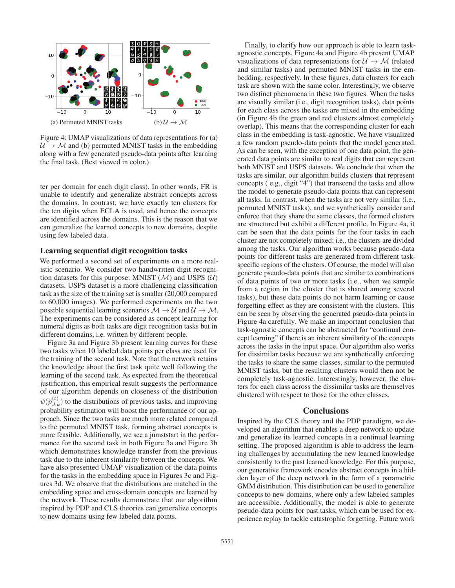

Figure 4: UMAP visualizations of data representations for (a)  $U \rightarrow M$  and (b) permuted MNIST tasks in the embedding along with a few generated pseudo-data points after learning the final task. (Best viewed in color.)

ter per domain for each digit class). In other words, FR is unable to identify and generalize abstract concepts across the domains. In contrast, we have exactly ten clusters for the ten digits when ECLA is used, and hence the concepts are identified across the domains. This is the reason that we can generalize the learned concepts to new domains, despite using few labeled data.

### Learning sequential digit recognition tasks

We performed a second set of experiments on a more realistic scenario. We consider two handwritten digit recognition datasets for this purpose: MNIST  $(M)$  and USPS  $(U)$ datasets. USPS dataset is a more challenging classification task as the size of the training set is smaller (20,000 compared to 60,000 images). We performed experiments on the two possible sequential learning scenarios  $M \rightarrow U$  and  $U \rightarrow M$ . The experiments can be considered as concept learning for numeral digits as both tasks are digit recognition tasks but in different domains, i.e. written by different people.

Figure 3a and Figure 3b present learning curves for these two tasks when 10 labeled data points per class are used for the training of the second task. Note that the network retains the knowledge about the first task quite well following the learning of the second task. As expected from the theoretical justification, this empirical result suggests the performance of our algorithm depends on closeness of the distribution  $\psi(\hat{p}_{J,k}^{(t)})$  to the distributions of previous tasks, and improving<br>probability estimation will boost the performance of our anprobability estimation will boost the performance of our approach. Since the two tasks are much more related compared to the permuted MNIST task, forming abstract concepts is more feasible. Additionally, we see a jumststart in the performance for the second task in both Figure 3a and Figure 3b which demonstrates knowledge transfer from the previous task due to the inherent similarity between the concepts. We have also presented UMAP visualization of the data points for the tasks in the embedding space in Figures 3c and Figures 3d. We observe that the distributions are matched in the embedding space and cross-domain concepts are learned by the network. These results demonstrate that our algorithm inspired by PDP and CLS theories can generalize concepts to new domains using few labeled data points.

Finally, to clarify how our approach is able to learn taskagnostic concepts, Figure 4a and Figure 4b present UMAP visualizations of data representations for  $U \rightarrow M$  (related and similar tasks) and permuted MNIST tasks in the embedding, respectively. In these figures, data clusters for each task are shown with the same color. Interestingly, we observe two distinct phenomena in these two figures. When the tasks are visually similar (i.e., digit recognition tasks), data points for each class across the tasks are mixed in the embedding (in Figure 4b the green and red clusters almost completely overlap). This means that the corresponding cluster for each class in the embedding is task-agnostic. We have visualized a few random pseudo-data points that the model generated. As can be seen, with the exception of one data point, the generated data points are similar to real digits that can represent both MNIST and USPS datasets. We conclude that when the tasks are similar, our algorithm builds clusters that represent concepts ( e.g., digit "4") that transcend the tasks and allow the model to generate pseudo-data points that can represent all tasks. In contrast, when the tasks are not very similar (i.e., permuted MNIST tasks), and we synthetically consider and enforce that they share the same classes, the formed clusters are structured but exhibit a different profile. In Figure 4a, it can be seen that the data points for the four tasks in each cluster are not completely mixed; i.e., the clusters are divided among the tasks. Our algorithm works because pseudo-data points for different tasks are generated from different taskspecific regions of the clusters. Of course, the model will also generate pseudo-data points that are similar to combinations of data points of two or more tasks (i.e., when we sample from a region in the cluster that is shared among several tasks), but these data points do not harm learning or cause forgetting effect as they are consistent with the clusters. This can be seen by observing the generated pseudo-data points in Figure 4a carefully. We make an important conclusion that task-agnostic concepts can be abstracted for "continual concept learning" if there is an inherent similarity of the concepts across the tasks in the input space. Our algorithm also works for dissimilar tasks because we are synthetically enforcing the tasks to share the same classes, similar to the permuted MNIST tasks, but the resulting clusters would then not be completely task-agnostic. Interestingly, however, the clusters for each class across the dissimilar tasks are themselves clustered with respect to those for the other classes.

#### **Conclusions**

Inspired by the CLS theory and the PDP paradigm, we developed an algorithm that enables a deep network to update and generalize its learned concepts in a continual learning setting. The proposed algorithm is able to address the learning challenges by accumulating the new learned knowledge consistently to the past learned knowledge. For this purpose, our generative framework encodes abstract concepts in a hidden layer of the deep network in the form of a parametric GMM distribution. This distribution can be used to generalize concepts to new domains, where only a few labeled samples are accessible. Additionally, the model is able to generate pseudo-data points for past tasks, which can be used for experience replay to tackle catastrophic forgetting. Future work